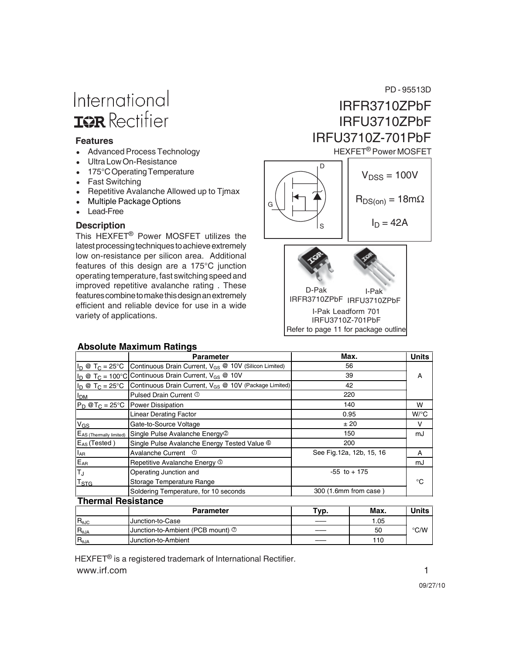# International **IGR** Rectifier

#### **Features**

- Advanced Process Technology
- Ultra Low On-Resistance
- 175°C Operating Temperature
- Fast Switching
- Repetitive Avalanche Allowed up to Timax
- Multiple Package Options
- Lead-Free

#### **Description**

This HEXFET® Power MOSFET utilizes the latest processing techniques to achieve extremely low on-resistance per silicon area. Additional features of this design are a 175°C junction operating temperature, fast switching speed and improved repetitive avalanche rating . These features combine to make this design an extremely efficient and reliable device for use in a wide variety of applications.







#### **Absolute Maximum Ratings**

|                                     | <b>Parameter</b>                                                                 | Max.                      | <b>Units</b>       |
|-------------------------------------|----------------------------------------------------------------------------------|---------------------------|--------------------|
| $I_D @ T_C = 25^{\circ}C$           | Continuous Drain Current, V <sub>GS</sub> @ 10V (Silicon Limited)                | 56                        |                    |
|                                     | $ I_D \otimes T_C = 100^{\circ}C$ Continuous Drain Current, $V_{GS} \otimes 10V$ | 39                        | A                  |
| $I_D \otimes T_C = 25^{\circ}C$     | Continuous Drain Current, V <sub>GS</sub> @ 10V (Package Limited)                | 42                        |                    |
| <b>I</b> <sub>DM</sub>              | Pulsed Drain Current 1                                                           | 220                       |                    |
|                                     | $P_D$ @T <sub>C</sub> = 25°C Power Dissipation                                   | 140                       | w                  |
|                                     | <b>Linear Derating Factor</b>                                                    | 0.95                      | $W$ <sup>o</sup> C |
| $V_{GS}$                            | Gate-to-Source Voltage                                                           | ±20                       | v                  |
| E <sub>AS</sub> (Thermally limited) | Single Pulse Avalanche Energy <sup>1</sup>                                       | 150                       | mJ                 |
| $E_{AS}$ (Tested)                   | Single Pulse Avalanche Energy Tested Value <sup>6</sup>                          | 200                       |                    |
| $I_{AR}$                            | Avalanche Current <sup>1</sup>                                                   | See Fig. 12a, 12b, 15, 16 | A                  |
| $E_{AR}$                            | Repetitive Avalanche Energy 5                                                    |                           | mJ                 |
| $T_{\rm J}$                         | Operating Junction and                                                           | $-55$ to $+175$           |                    |
| $\mathsf{T}_{\text{STG}}$           | Storage Temperature Range                                                        |                           | °€                 |
|                                     | Soldering Temperature, for 10 seconds                                            | 300 (1.6mm from case)     |                    |
| <b>Thermal Resistance</b>           |                                                                                  |                           |                    |

|                        | <b>Parameter</b>                  | Typ. | Max. | ' Inits |
|------------------------|-----------------------------------|------|------|---------|
| $R_{\theta \text{JC}}$ | Junction-to-Case                  |      | .05  |         |
| $R_{\theta JA}$        | Junction-to-Ambient (PCB mount) 2 |      | 50   | °C/W    |
| $R_{\theta$ JA         | Junction-to-Ambient               |      | 110  |         |

www.irf.com 1 HEXFET<sup>®</sup> is a registered trademark of International Rectifier.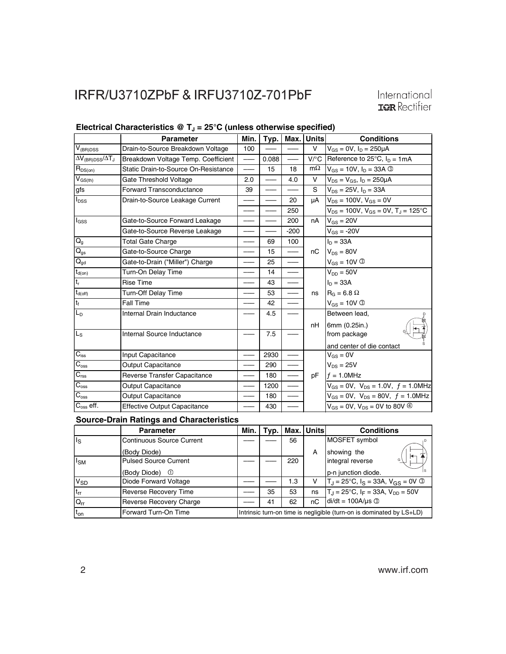|                                 | <b>Parameter</b>                     | Min. | Typ.  | Max.   | Units              | <b>Conditions</b>                                   |
|---------------------------------|--------------------------------------|------|-------|--------|--------------------|-----------------------------------------------------|
| $V_{(BR)DSS}$                   | Drain-to-Source Breakdown Voltage    | 100  |       |        | v                  | $V_{GS} = 0V$ , $I_D = 250 \mu A$                   |
| $\Delta V_{(BR)DSS}/\Delta T_J$ | Breakdown Voltage Temp. Coefficient  |      | 0.088 |        | $V$ <sup>o</sup> C | Reference to $25^{\circ}$ C, $I_D = 1mA$            |
| $R_{DS(on)}$                    | Static Drain-to-Source On-Resistance |      | 15    | 18     | $m\Omega$          | $V_{GS} = 10V, I_D = 33A$ 3                         |
| $V_{\text{GS(th)}}$             | Gate Threshold Voltage               | 2.0  |       | 4.0    | V                  | $V_{DS} = V_{GS}$ , $I_D = 250 \mu A$               |
| gfs                             | <b>Forward Transconductance</b>      | 39   |       |        | S                  | $V_{DS} = 25V$ , $I_D = 33A$                        |
| <b>I</b> <sub>DSS</sub>         | Drain-to-Source Leakage Current      |      |       | 20     | μA                 | $V_{DS} = 100V$ , $V_{GS} = 0V$                     |
|                                 |                                      |      |       | 250    |                    | $V_{DS}$ = 100V, $V_{GS}$ = 0V, $T_J$ = 125°C       |
| l <sub>GSS</sub>                | Gate-to-Source Forward Leakage       |      |       | 200    | nA                 | $V_{GS} = 20V$                                      |
|                                 | Gate-to-Source Reverse Leakage       |      |       | $-200$ |                    | $V_{GS} = -20V$                                     |
| $Q_{g}$                         | <b>Total Gate Charge</b>             |      | 69    | 100    |                    | $I_D = 33A$                                         |
| $Q_{gs}$                        | Gate-to-Source Charge                |      | 15    |        | nC                 | $V_{DS} = 80V$                                      |
| $Q_{gd}$                        | Gate-to-Drain ("Miller") Charge      |      | 25    |        |                    | $V_{GS} = 10V$ 3                                    |
| $t_{d(on)}$                     | Turn-On Delay Time                   |      | 14    |        |                    | $V_{DD} = 50V$                                      |
| $t_r$                           | <b>Rise Time</b>                     |      | 43    |        |                    | $I_{D} = 33A$                                       |
| $t_{d(off)}$                    | Turn-Off Delay Time                  |      | 53    |        | ns                 | $R_G = 6.8 \Omega$                                  |
| $t_f$                           | <b>Fall Time</b>                     |      | 42    |        |                    | $V_{GS} = 10V$ 3                                    |
| L <sub>D</sub>                  | Internal Drain Inductance            |      | 4.5   |        |                    | Between lead,                                       |
|                                 |                                      |      |       |        | nH                 | 6mm (0.25in.)                                       |
| $L_{\rm S}$                     | Internal Source Inductance           |      | 7.5   |        |                    | from package                                        |
|                                 |                                      |      |       |        |                    | and center of die contact                           |
| $C_{iss}$                       | Input Capacitance                    |      | 2930  |        |                    | $V_{GS} = 0V$                                       |
| $\overline{C_{\rm oss}}$        | <b>Output Capacitance</b>            |      | 290   |        |                    | $V_{DS} = 25V$                                      |
| $C_{\text{rss}}$                | Reverse Transfer Capacitance         |      | 180   |        | pF                 | $f = 1.0$ MHz                                       |
| $C_{\rm oss}$                   | <b>Output Capacitance</b>            |      | 1200  |        |                    | $V_{GS} = 0V$ , $V_{DS} = 1.0V$ , $f = 1.0MHz$      |
| $C_{\rm oss}$                   | Output Capacitance                   |      | 180   |        |                    | $V_{GS} = 0V$ , $V_{DS} = 80V$ , $f = 1.0MHz$       |
| $C_{\rm oss}$ eff.              | <b>Effective Output Capacitance</b>  |      | 430   |        |                    | $V_{GS} = 0V$ , $V_{DS} = 0V$ to 80V $\circledcirc$ |

#### Electrical Characteristics @ T<sub>J</sub> = 25°C (unless otherwise specified)

**Source-Drain Ratings and Characteristics**

|                       | <b>Parameter</b>                 | Min. | Tvp. |     | Max.   Units | <b>Conditions</b>                                                    |
|-----------------------|----------------------------------|------|------|-----|--------------|----------------------------------------------------------------------|
| ls                    | <b>Continuous Source Current</b> |      |      | 56  |              | MOSFET symbol                                                        |
|                       | (Body Diode)                     |      |      |     | A            | showing the                                                          |
| lsм                   | <b>Pulsed Source Current</b>     |      |      | 220 |              | integral reverse<br>G                                                |
|                       | (Body Diode)<br>⊕                |      |      |     |              | p-n junction diode.                                                  |
| <b>V<sub>SD</sub></b> | Diode Forward Voltage            |      |      | 1.3 | v            | $T_J = 25^{\circ}C$ , $I_S = 33A$ , $V_{GS} = 0V$ 3                  |
| $t_{rr}$              | <b>Reverse Recovery Time</b>     |      | 35   | 53  | ns           | $T_1 = 25^{\circ}C$ , $I_F = 33A$ , $V_{DD} = 50V$                   |
| $Q_{rr}$              | Reverse Recovery Charge          |      | 41   | 62  | nC           | $di/dt = 100A/\mu s$ 3                                               |
| $t_{on}$              | Forward Turn-On Time             |      |      |     |              | Intrinsic turn-on time is negligible (turn-on is dominated by LS+LD) |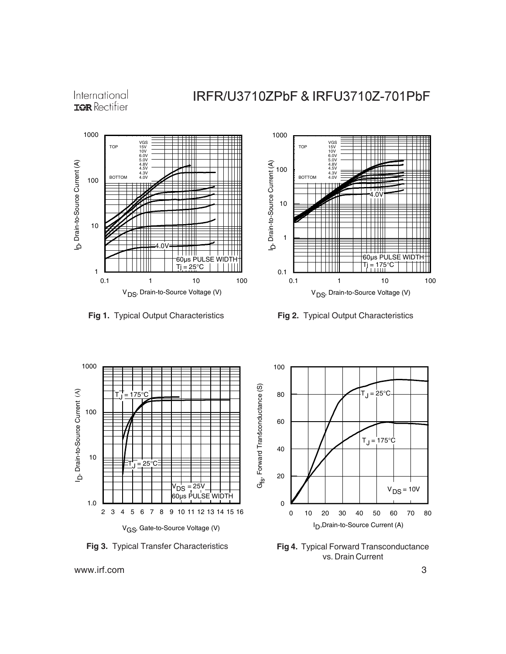International **IOR** Rectifier

### IRFR/U3710ZPbF & IRFU3710Z-701PbF









**Fig 3.** Typical Transfer Characteristics **Fig 4.** Typical Forward Transconductance vs. Drain Current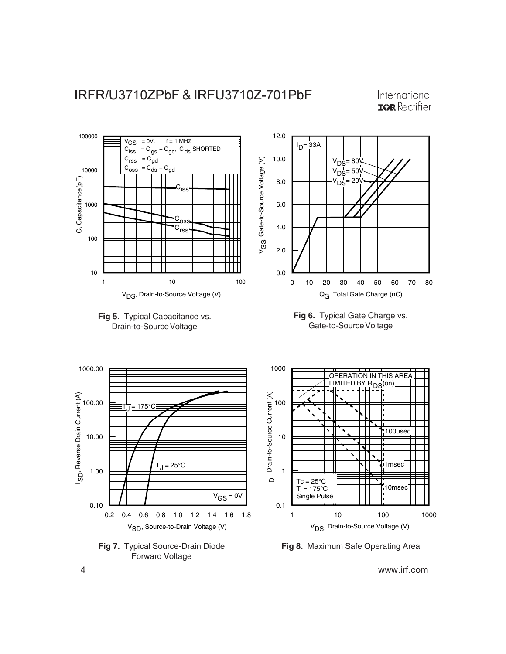

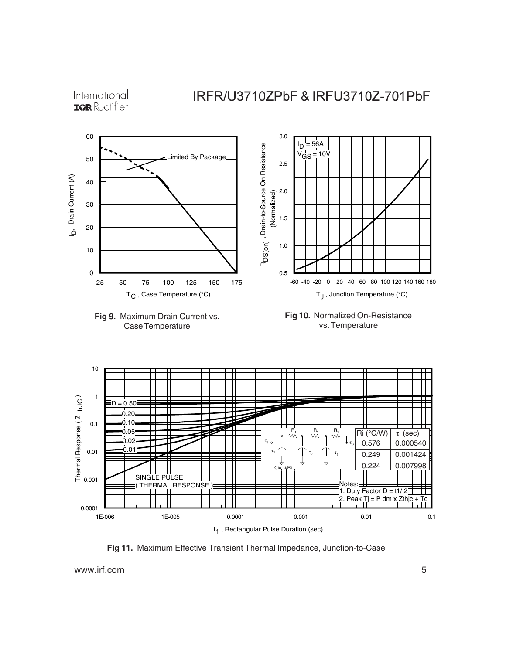International **IOR** Rectifier

### IRFR/U3710ZPbF & IRFU3710Z-701PbF











**Fig 11.** Maximum Effective Transient Thermal Impedance, Junction-to-Case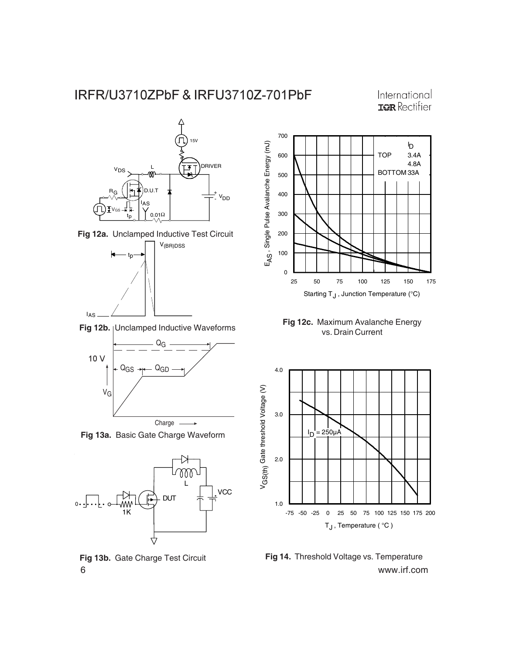International **IOR** Rectifier







vs. Drain Current **Fig 12b.** Unclamped Inductive Waveforms



**Fig 13a.** Basic Gate Charge Waveform



**Fig 13b.** Gate Charge Test Circuit



**Fig 12c.** Maximum Avalanche Energy



6 www.irf.com **Fig 14.** Threshold Voltage vs. Temperature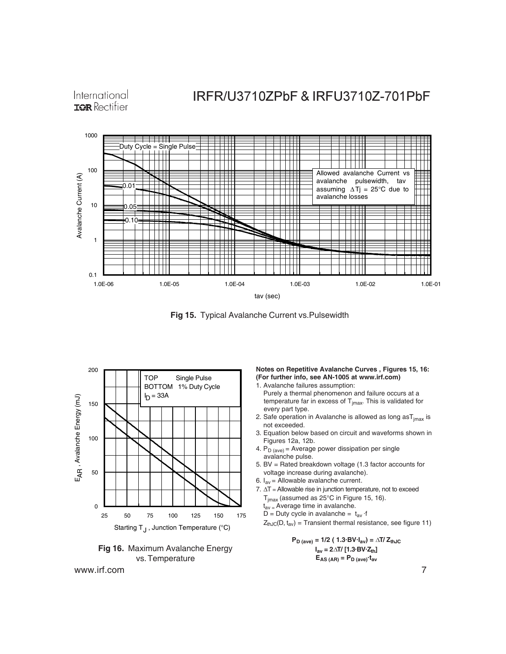International **TOR** Rectifier

## IRFR/U3710ZPbF & IRFU3710Z-701PbF



**Fig 15.** Typical Avalanche Current vs.Pulsewidth





www.irf.com 7

**Notes on Repetitive Avalanche Curves , Figures 15, 16: (For further info, see AN-1005 at www.irf.com)**

- 1. Avalanche failures assumption: Purely a thermal phenomenon and failure occurs at a temperature far in excess of  $T_{jmax}$ . This is validated for every part type.
- 2. Safe operation in Avalanche is allowed as long as  $T_{\text{imax}}$  is not exceeded.
- 3. Equation below based on circuit and waveforms shown in Figures 12a, 12b.
- 4.  $P_D$  (ave) = Average power dissipation per single avalanche pulse.
- 5. BV = Rated breakdown voltage (1.3 factor accounts for voltage increase during avalanche).
- 6.  $I_{av}$  = Allowable avalanche current.
- 7. ∆T = Allowable rise in junction temperature, not to exceed  $T_{jmax}$  (assumed as 25°C in Figure 15, 16).
	- $t_{\text{av}}$  = Average time in avalanche.
	- D = Duty cycle in avalanche =  $t_{av}$  ·f

 $Z_{thJC}(D, t_{av})$  = Transient thermal resistance, see figure 11)

 $P_{D \text{ (ave)}} = 1/2 (1.3 \text{ BV} \cdot I_{av}) = \Delta T / Z_{thJC}$  $I_{av} = 2\Delta T / [1.3 BV·Z_{th}]$  $E_{AS (AR)} = P_{D (ave)} \cdot t_{av}$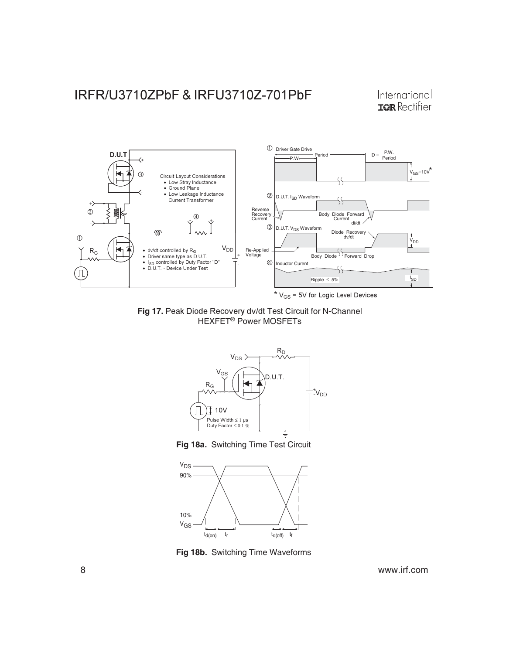International **IOR** Rectifier



Fig 17. Peak Diode Recovery dv/dt Test Circuit for N-Channel HEXFET<sup>®</sup> Power MOSFETs







**Fig 18b.** Switching Time Waveforms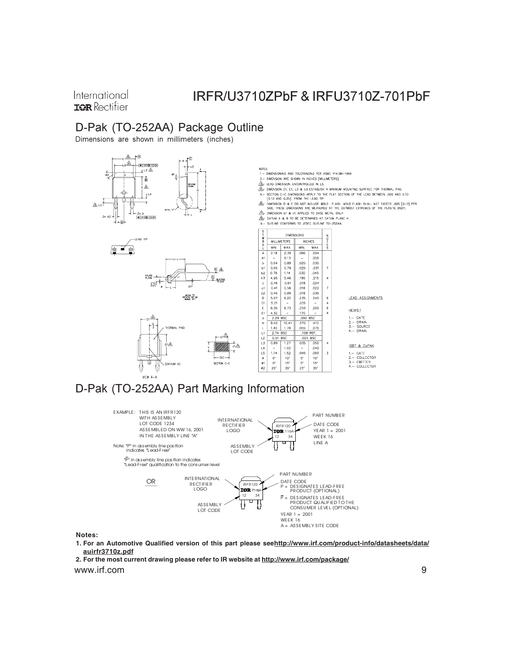International **TOR** Rectifier

## IRFR/U3710ZPbF & IRFU3710Z-701PbF

### D-Pak (TO-252AA) Package Outline

Dimensions are shown in millimeters (inches)









2. DIMENSION ARE SHOWN IN INCHES [MILLIMETERS]

- 
- $\Delta S$  LEAU DIMENSION UNCONTROLLEL IN LS.<br> $\widehat{\Delta}$  DIMENSION DI, EI, L3 & b3 ESTABLISH A MNMAM MOUNTING SURFACE FOR THERMAL PAD.<br>5- SECTION C-C DIMENSIONS APPLY TO THE FLAT SECTION OF THE LEAD BETWEEN .005 AND 0.10<br>(0.13
- .<br>DIMENSION D & E DO NOT INCLUDE MOLD FLASH, MOLD FLASH SHALL NOT EXCEED ,005 [0.13] PER<br>SIDE, THESE DIMENSIONS ARE MEASURED AT THE OUTMOST EXTREMES OF THE PLASTIC BODY,
- SUCH THE CONFORMS ON A PERSON IN THE ONLY.<br>
THE DIRENSION IS A CAPPLIED TO BASE METAL ONLY.<br>
9. OUTLINE CONFORMS TO JEDEC OUTLINE TO-252AA.

**DIMENSIONS**  $m = 0.2$  $-$  0  $\pi$ MILLIMETERS INCHES MIN. MAX. MAX.  $\frac{2.39}{2.39}$ <br>0.13<br>0.89<br>0.79<br>1.14  $A$ <br>A1  $2.18$ .086  $\begin{array}{r} - \\ 0.64 \\ 0.65 \\ 0.76 \\ 4.95 \\ 0.44 \\ 0.41 \\ 0.46 \\ 5.97 \\ 5.21 \\ 6.35 \end{array}$ b b1 b2 b3 c cl c2 D D1 E E1  $1, 14$ <br>5, 46<br>0, 61<br>0, 56<br>0, 89<br>6, 22  $\frac{6}{4}$  $-$  6.73  $\overline{6}$  $4.32$ ,170  $\frac{e}{H}$  $\frac{2.29}{9.40}$  $rac{1090}{000}$  $\frac{1}{10.4}$  $.410$  $\frac{1.40}{2.74}$ 1 1 1 2 1 3 14 15 9 11 9 2 1,78 055 .070  $rac{02}{0.035}$ BSC<br>| 1.27  $0.89$  $.05C$  $1.02$ <br> $1.52$ <br> $10$ <br> $15$ .040<br>.060<br>.10<br>15<br>.15  $\frac{1}{\sqrt{14}}$ <br>  $\frac{0}{\sqrt{14}}$ <br>  $\frac{0}{25}$  $.045$ <br>0<br>0<br>0<br>25  $\mathbf 3$  $35^{\circ}$ 

#### LEAD ASSIGNMENTS

**HEXFET** 

1.- GATE<br>2.- DRAIN<br>3.- SOURCE<br>4.- DRAIN

**IGBT & CoPAK** 1.- GATE<br>2.- COLLECTOR<br>3.- EMITTER<br>4.- COLLECTOR





**Notes:**

**1. For an Automotive Qualified version of this part please seehttp://www.irf.com/product-info/datasheets/data/ auirfr3710z.pdf**

www.irf.com 9 **2. For the most current drawing please refer to IR website at http://www.irf.com/package/**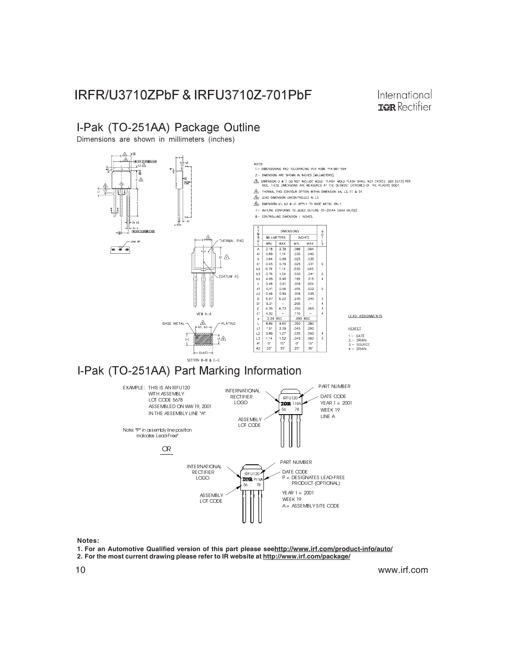International **IOR** Rectifier

### I-Pak (TO-251AA) Package Outline

Dimensions are shown in millimeters (inches)



**Notes:**

- **1. For an Automotive Qualified version of this part please seehttp://www.irf.com/product-info/auto/**
- **2. For the most current drawing please refer to IR website at http://www.irf.com/package/**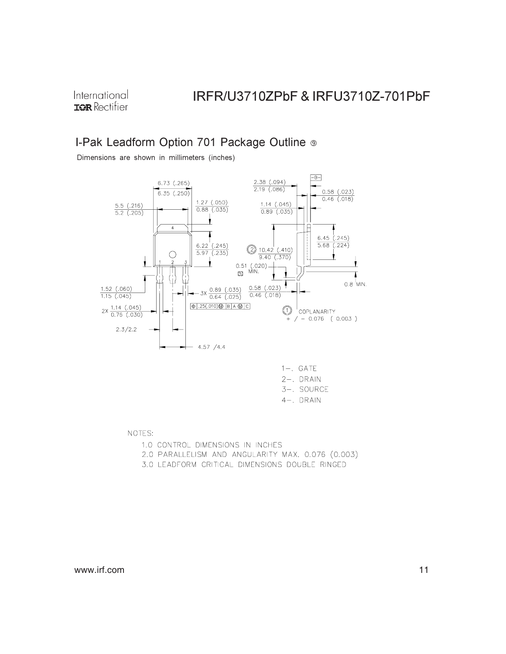International **IOR** Rectifier

## IRFR/U3710ZPbF & IRFU3710Z-701PbF

### I-Pak Leadform Option 701 Package Outline ®

Dimensions are shown in millimeters (inches)



| $1-$ . GATE  |
|--------------|
| $2-$ . DRAIN |
| 3-. SOURCE   |
| 4–. DRAIN    |

NOTES:

1.0 CONTROL DIMENSIONS IN INCHES

- 2.0 PARALLELISM AND ANGULARITY MAX. 0.076 (0.003)
- 3.0 LEADFORM CRITICAL DIMENSIONS DOUBLE RINGED